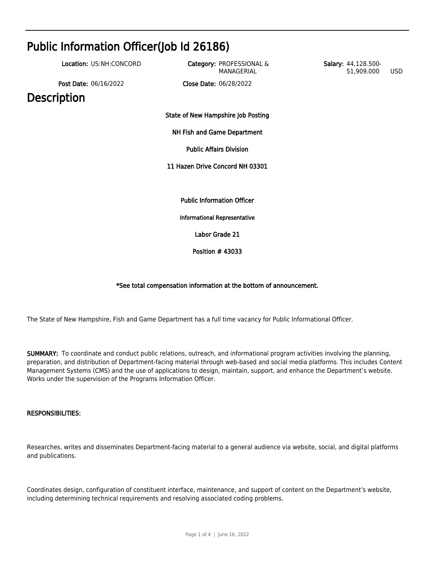| Public Information Officer(Job Id 26186) |                                        |                                          |  |
|------------------------------------------|----------------------------------------|------------------------------------------|--|
| Location: US:NH:CONCORD                  | Category: PROFESSIONAL &<br>MANAGERIAL | Salary: 44,128.500-<br>51,909.000<br>USD |  |
| Post Date: 06/16/2022                    | Close Date: 06/28/2022                 |                                          |  |
| <b>Description</b>                       |                                        |                                          |  |
|                                          | State of New Hampshire Job Posting     |                                          |  |
|                                          | NH Fish and Game Department            |                                          |  |
|                                          | <b>Public Affairs Division</b>         |                                          |  |
|                                          | 11 Hazen Drive Concord NH 03301        |                                          |  |
|                                          |                                        |                                          |  |
|                                          | <b>Public Information Officer</b>      |                                          |  |
|                                          | <b>Informational Representative</b>    |                                          |  |
|                                          | Labor Grade 21                         |                                          |  |
|                                          | Position $#43033$                      |                                          |  |

# \*See total compensation information at the bottom of announcement.

The State of New Hampshire, Fish and Game Department has a full time vacancy for Public Informational Officer.

SUMMARY: To coordinate and conduct public relations, outreach, and informational program activities involving the planning, preparation, and distribution of Department-facing material through web-based and social media platforms. This includes Content Management Systems (CMS) and the use of applications to design, maintain, support, and enhance the Department's website. Works under the supervision of the Programs Information Officer.

## RESPONSIBILITIES:

Researches, writes and disseminates Department-facing material to a general audience via website, social, and digital platforms and publications.

Coordinates design, configuration of constituent interface, maintenance, and support of content on the Department's website, including determining technical requirements and resolving associated coding problems.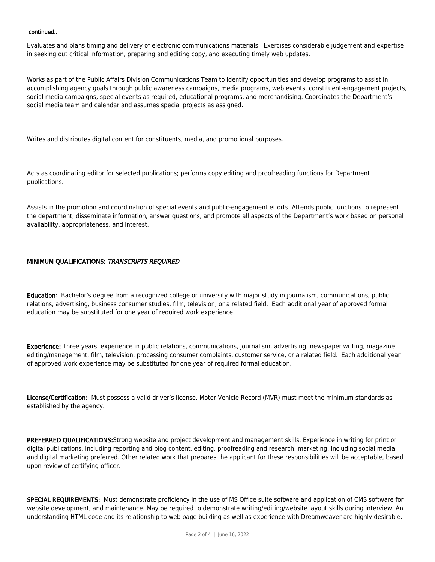#### continued...

Evaluates and plans timing and delivery of electronic communications materials. Exercises considerable judgement and expertise in seeking out critical information, preparing and editing copy, and executing timely web updates.

Works as part of the Public Affairs Division Communications Team to identify opportunities and develop programs to assist in accomplishing agency goals through public awareness campaigns, media programs, web events, constituent-engagement projects, social media campaigns, special events as required, educational programs, and merchandising. Coordinates the Department's social media team and calendar and assumes special projects as assigned.

Writes and distributes digital content for constituents, media, and promotional purposes.

Acts as coordinating editor for selected publications; performs copy editing and proofreading functions for Department publications.

Assists in the promotion and coordination of special events and public-engagement efforts. Attends public functions to represent the department, disseminate information, answer questions, and promote all aspects of the Department's work based on personal availability, appropriateness, and interest.

## MINIMUM QUALIFICATIONS: TRANSCRIPTS REQUIRED

Education: Bachelor's degree from a recognized college or university with major study in journalism, communications, public relations, advertising, business consumer studies, film, television, or a related field. Each additional year of approved formal education may be substituted for one year of required work experience.

Experience: Three years' experience in public relations, communications, journalism, advertising, newspaper writing, magazine editing/management, film, television, processing consumer complaints, customer service, or a related field. Each additional year of approved work experience may be substituted for one year of required formal education.

License/Certification: Must possess a valid driver's license. Motor Vehicle Record (MVR) must meet the minimum standards as established by the agency.

PREFERRED QUALIFICATIONS: Strong website and project development and management skills. Experience in writing for print or digital publications, including reporting and blog content, editing, proofreading and research, marketing, including social media and digital marketing preferred. Other related work that prepares the applicant for these responsibilities will be acceptable, based upon review of certifying officer.

SPECIAL REQUIREMENTS: Must demonstrate proficiency in the use of MS Office suite software and application of CMS software for website development, and maintenance. May be required to demonstrate writing/editing/website layout skills during interview. An understanding HTML code and its relationship to web page building as well as experience with Dreamweaver are highly desirable.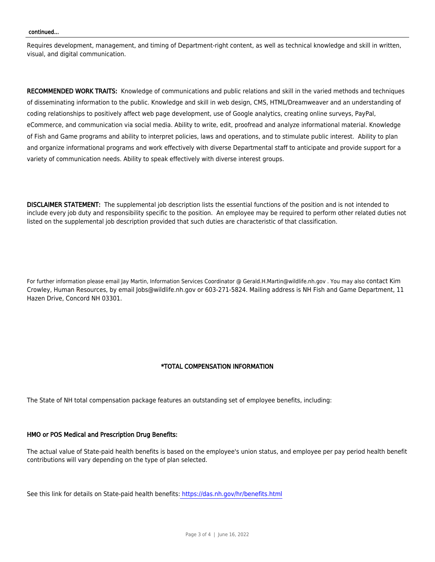#### continued...

Requires development, management, and timing of Department-right content, as well as technical knowledge and skill in written, visual, and digital communication.

RECOMMENDED WORK TRAITS: Knowledge of communications and public relations and skill in the varied methods and techniques of disseminating information to the public. Knowledge and skill in web design, CMS, HTML/Dreamweaver and an understanding of coding relationships to positively affect web page development, use of Google analytics, creating online surveys, PayPal, eCommerce, and communication via social media. Ability to write, edit, proofread and analyze informational material. Knowledge of Fish and Game programs and ability to interpret policies, laws and operations, and to stimulate public interest. Ability to plan and organize informational programs and work effectively with diverse Departmental staff to anticipate and provide support for a variety of communication needs. Ability to speak effectively with diverse interest groups.

DISCLAIMER STATEMENT: The supplemental job description lists the essential functions of the position and is not intended to include every job duty and responsibility specific to the position. An employee may be required to perform other related duties not listed on the supplemental job description provided that such duties are characteristic of that classification.

For further information please email Jay Martin, Information Services Coordinator @ Gerald.H.Martin@wildlife.nh.gov . You may also contact Kim Crowley, Human Resources, by email Jobs@wildlife.nh.gov or 603-271-5824. Mailing address is NH Fish and Game Department, 11 Hazen Drive, Concord NH 03301.

## \*TOTAL COMPENSATION INFORMATION

The State of NH total compensation package features an outstanding set of employee benefits, including:

#### HMO or POS Medical and Prescription Drug Benefits:

The actual value of State-paid health benefits is based on the employee's union status, and employee per pay period health benefit contributions will vary depending on the type of plan selected.

See this link for details on State-paid health benefits:<https://das.nh.gov/hr/benefits.html>